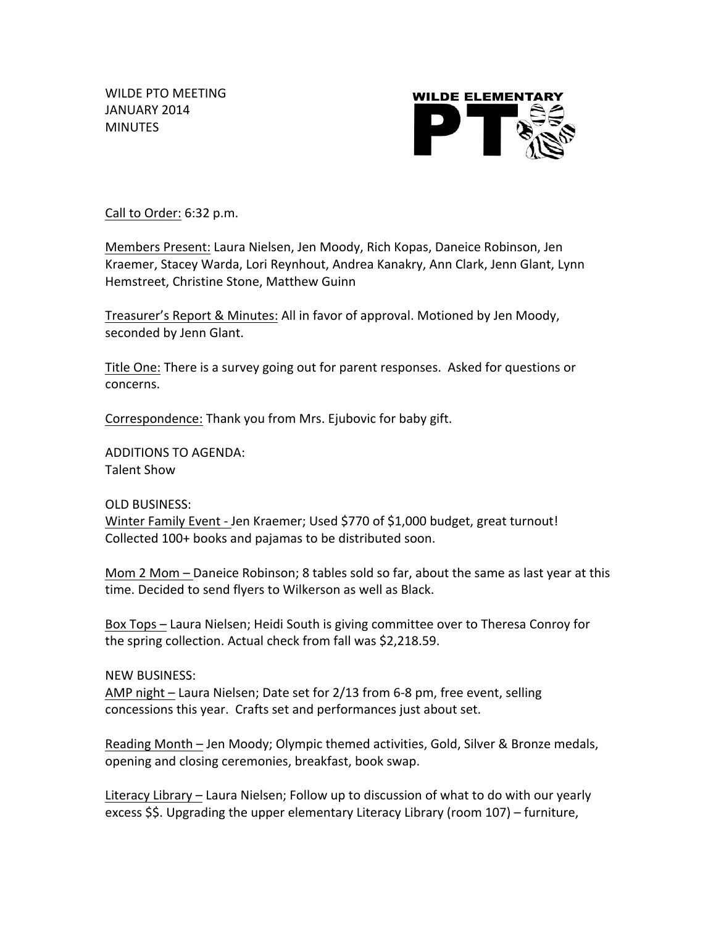WILDE PTO MEETING JANUARY 2014 **MINUTES** 



Call to Order: 6:32 p.m.

Members Present: Laura Nielsen, Jen Moody, Rich Kopas, Daneice Robinson, Jen Kraemer, Stacey Warda, Lori Reynhout, Andrea Kanakry, Ann Clark, Jenn Glant, Lynn Hemstreet, Christine Stone, Matthew Guinn

Treasurer's Report & Minutes: All in favor of approval. Motioned by Jen Moody, seconded by Jenn Glant.

Title One: There is a survey going out for parent responses. Asked for questions or concerns. 

Correspondence: Thank you from Mrs. Ejubovic for baby gift.

ADDITIONS TO AGENDA: **Talent Show** 

OLD BUSINESS: Winter Family Event - Jen Kraemer; Used \$770 of \$1,000 budget, great turnout! Collected 100+ books and pajamas to be distributed soon.

Mom 2 Mom  $-$  Daneice Robinson; 8 tables sold so far, about the same as last year at this time. Decided to send flyers to Wilkerson as well as Black.

Box Tops – Laura Nielsen; Heidi South is giving committee over to Theresa Conroy for the spring collection. Actual check from fall was \$2,218.59.

**NEW BUSINESS:** 

AMP night – Laura Nielsen; Date set for 2/13 from 6-8 pm, free event, selling concessions this year. Crafts set and performances just about set.

Reading Month – Jen Moody; Olympic themed activities, Gold, Silver & Bronze medals, opening and closing ceremonies, breakfast, book swap.

Literacy Library – Laura Nielsen; Follow up to discussion of what to do with our yearly excess  $$$. Upgrading the upper elementary Literary Library (room 107) – furniture,$